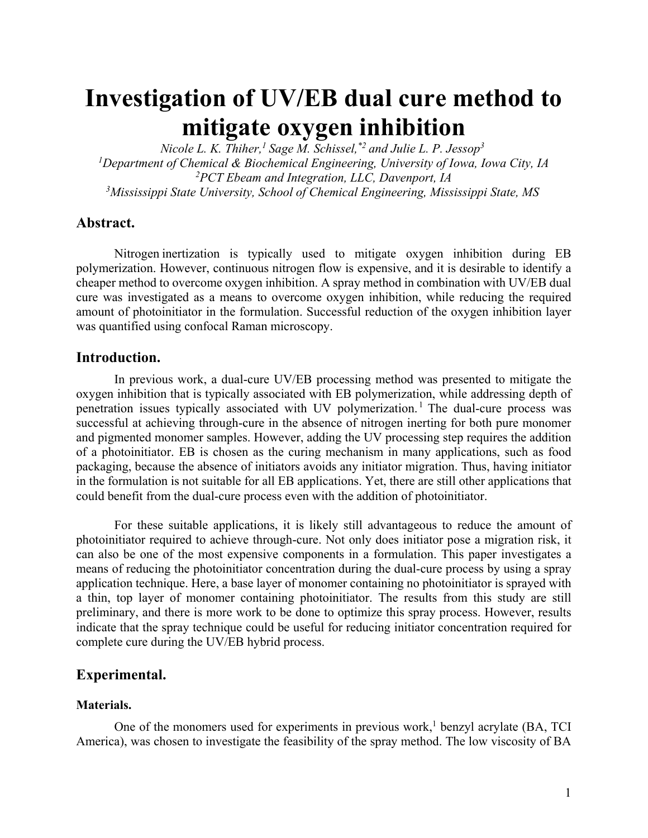# **Investigation of UV/EB dual cure method to mitigate oxygen inhibition**

*Nicole L. K. Thiher,<sup>1</sup> Sage M. Schissel,*<sup>\*2</sup> *and Julie L. P. Jessop*<sup>3</sup> *Department of Chemical & Biochemical Engineering, University of Iowa, Iowa City, IA 2 PCT Ebeam and Integration, LLC, Davenport, IA 3 Mississippi State University, School of Chemical Engineering, Mississippi State, MS*

# **Abstract.**

Nitrogen inertization is typically used to mitigate oxygen inhibition during EB polymerization. However, continuous nitrogen flow is expensive, and it is desirable to identify a cheaper method to overcome oxygen inhibition. A spray method in combination with UV/EB dual cure was investigated as a means to overcome oxygen inhibition, while reducing the required amount of photoinitiator in the formulation. Successful reduction of the oxygen inhibition layer was quantified using confocal Raman microscopy. 

## **Introduction.**

In previous work, a dual-cure UV/EB processing method was presented to mitigate the oxygen inhibition that is typically associated with EB polymerization, while addressing depth of penetration issues typically associated with UV polymerization.<sup>1</sup> The dual-cure process was successful at achieving through-cure in the absence of nitrogen inerting for both pure monomer and pigmented monomer samples. However, adding the UV processing step requires the addition of a photoinitiator. EB is chosen as the curing mechanism in many applications, such as food packaging, because the absence of initiators avoids any initiator migration. Thus, having initiator in the formulation is not suitable for all EB applications. Yet, there are still other applications that could benefit from the dual-cure process even with the addition of photoinitiator.

For these suitable applications, it is likely still advantageous to reduce the amount of photoinitiator required to achieve through-cure. Not only does initiator pose a migration risk, it can also be one of the most expensive components in a formulation. This paper investigates a means of reducing the photoinitiator concentration during the dual-cure process by using a spray application technique. Here, a base layer of monomer containing no photoinitiator is sprayed with a thin, top layer of monomer containing photoinitiator. The results from this study are still preliminary, and there is more work to be done to optimize this spray process. However, results indicate that the spray technique could be useful for reducing initiator concentration required for complete cure during the UV/EB hybrid process.

# **Experimental.**

## **Materials.**

One of the monomers used for experiments in previous work,<sup>1</sup> benzyl acrylate (BA, TCI America), was chosen to investigate the feasibility of the spray method. The low viscosity of BA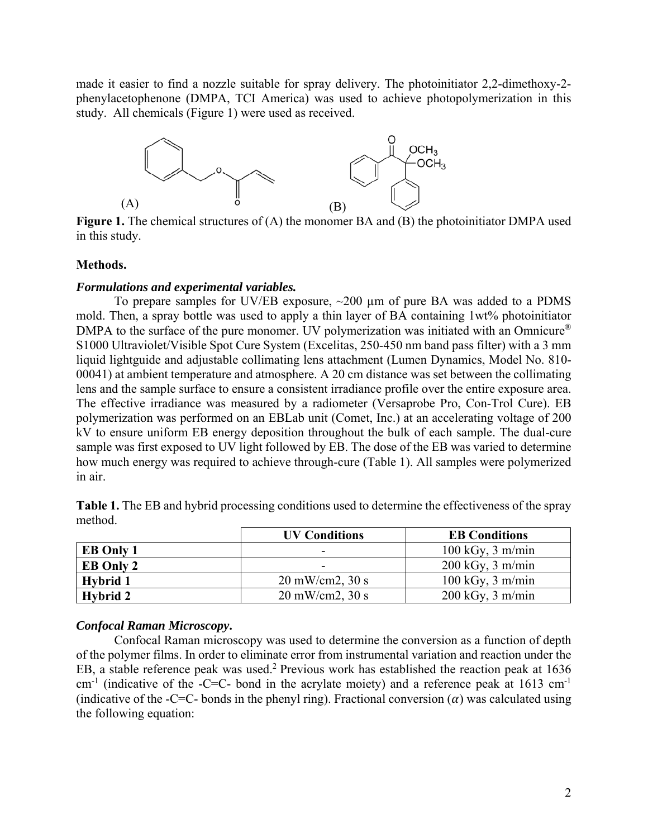made it easier to find a nozzle suitable for spray delivery. The photoinitiator 2,2-dimethoxy-2 phenylacetophenone (DMPA, TCI America) was used to achieve photopolymerization in this study. All chemicals (Figure 1) were used as received.



**Figure 1.** The chemical structures of (A) the monomer BA and (B) the photoinitiator DMPA used in this study.

### **Methods.**

#### *Formulations and experimental variables.*

To prepare samples for UV/EB exposure,  $\sim$ 200 µm of pure BA was added to a PDMS mold. Then, a spray bottle was used to apply a thin layer of BA containing 1wt% photoinitiator DMPA to the surface of the pure monomer. UV polymerization was initiated with an Omnicure<sup>®</sup> S1000 Ultraviolet/Visible Spot Cure System (Excelitas, 250-450 nm band pass filter) with a 3 mm liquid lightguide and adjustable collimating lens attachment (Lumen Dynamics, Model No. 810- 00041) at ambient temperature and atmosphere. A 20 cm distance was set between the collimating lens and the sample surface to ensure a consistent irradiance profile over the entire exposure area. The effective irradiance was measured by a radiometer (Versaprobe Pro, Con-Trol Cure). EB polymerization was performed on an EBLab unit (Comet, Inc.) at an accelerating voltage of 200 kV to ensure uniform EB energy deposition throughout the bulk of each sample. The dual-cure sample was first exposed to UV light followed by EB. The dose of the EB was varied to determine how much energy was required to achieve through-cure (Table 1). All samples were polymerized in air.

| method. | ~                    |                      |
|---------|----------------------|----------------------|
|         | <b>UV Conditions</b> | <b>EB Conditions</b> |
|         |                      |                      |

**Table 1.** The EB and hybrid processing conditions used to determine the effectiveness of the spray

|                  | <b>UV Conditions</b>                 | <b>EB Conditions</b>               |
|------------------|--------------------------------------|------------------------------------|
| <b>EB</b> Only 1 | -                                    | $100 \text{ kGy}, 3 \text{ m/min}$ |
| <b>EB Only 2</b> | $\overline{\phantom{a}}$             | $200 \text{ kGy}, 3 \text{ m/min}$ |
| Hybrid 1         | $20 \text{ mW/cm2}$ , $30 \text{ s}$ | $100 \text{ kGy}$ , 3 m/min        |
| <b>Hybrid 2</b>  | $20 \text{ mW/cm2}$ , $30 \text{ s}$ | $200 \text{ kGy}, 3 \text{ m/min}$ |

## *Confocal Raman Microscopy***.**

Confocal Raman microscopy was used to determine the conversion as a function of depth of the polymer films. In order to eliminate error from instrumental variation and reaction under the EB, a stable reference peak was used.<sup>2</sup> Previous work has established the reaction peak at  $1636$  $cm<sup>-1</sup>$  (indicative of the -C=C- bond in the acrylate moiety) and a reference peak at 1613 cm<sup>-1</sup> (indicative of the -C=C- bonds in the phenyl ring). Fractional conversion ( $\alpha$ ) was calculated using the following equation: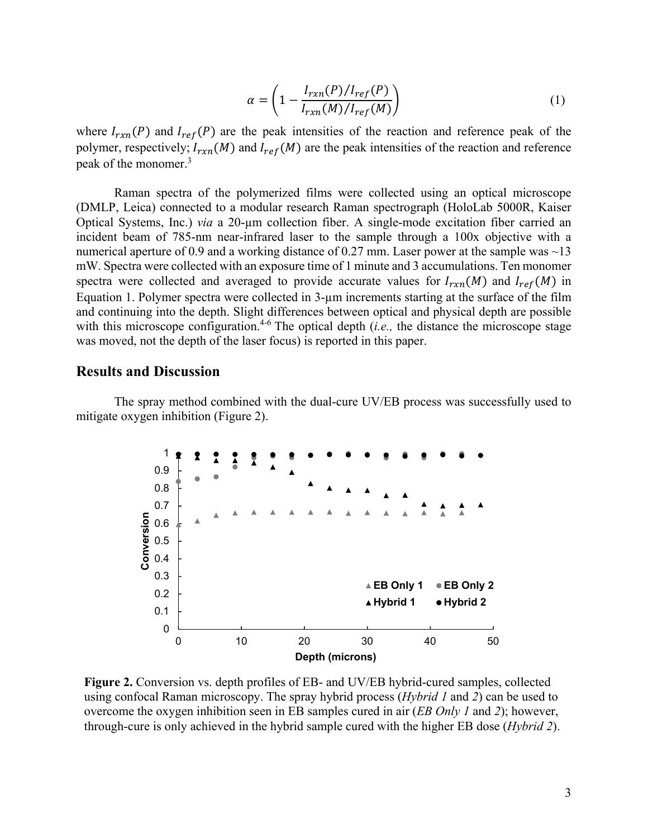$$
\alpha = \left(1 - \frac{I_{rxn}(P)/I_{ref}(P)}{I_{rxn}(M)/I_{ref}(M)}\right) \tag{1}
$$

where  $I_{rxn}(P)$  and  $I_{ref}(P)$  are the peak intensities of the reaction and reference peak of the polymer, respectively;  $I_{rxn}(M)$  and  $I_{ref}(M)$  are the peak intensities of the reaction and reference peak of the monomer.3

 Raman spectra of the polymerized films were collected using an optical microscope (DMLP, Leica) connected to a modular research Raman spectrograph (HoloLab 5000R, Kaiser Optical Systems, Inc.) *via* a 20-µm collection fiber. A single-mode excitation fiber carried an incident beam of 785-nm near-infrared laser to the sample through a 100x objective with a numerical aperture of 0.9 and a working distance of 0.27 mm. Laser power at the sample was  $\sim$ 13 mW. Spectra were collected with an exposure time of 1 minute and 3 accumulations. Ten monomer spectra were collected and averaged to provide accurate values for  $I_{rrn}(M)$  and  $I_{ref}(M)$  in Equation 1. Polymer spectra were collected in 3-µm increments starting at the surface of the film and continuing into the depth. Slight differences between optical and physical depth are possible with this microscope configuration.<sup>4-6</sup> The optical depth (*i.e.*, the distance the microscope stage was moved, not the depth of the laser focus) is reported in this paper.

## **Results and Discussion**

The spray method combined with the dual-cure UV/EB process was successfully used to mitigate oxygen inhibition (Figure 2).



**Figure 2.** Conversion vs. depth profiles of EB- and UV/EB hybrid-cured samples, collected using confocal Raman microscopy. The spray hybrid process (*Hybrid 1* and *2*) can be used to overcome the oxygen inhibition seen in EB samples cured in air (*EB Only 1* and *2*); however, through-cure is only achieved in the hybrid sample cured with the higher EB dose (*Hybrid 2*).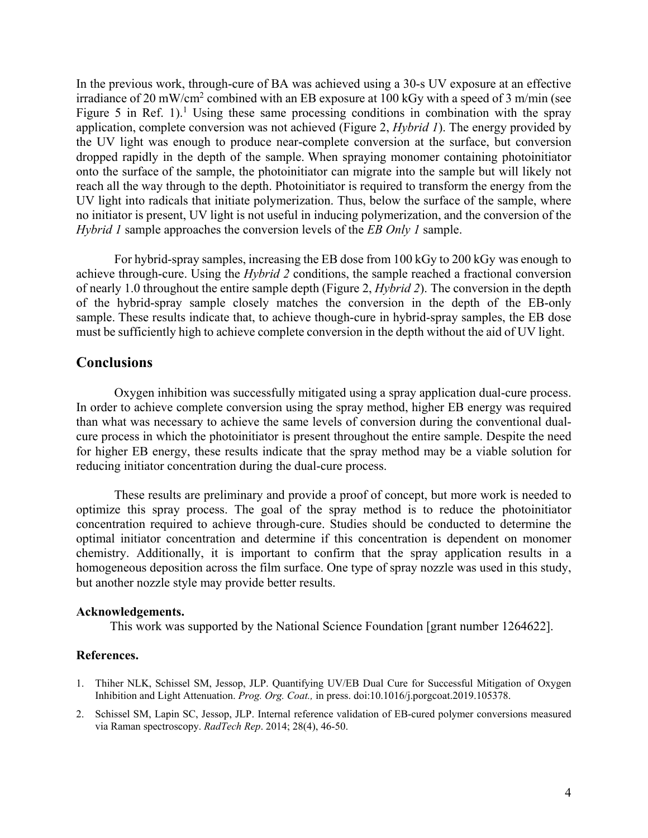In the previous work, through-cure of BA was achieved using a 30-s UV exposure at an effective irradiance of 20 mW/cm<sup>2</sup> combined with an EB exposure at 100 kGy with a speed of 3 m/min (see Figure 5 in Ref.  $1$ <sup>1</sup>. Using these same processing conditions in combination with the spray application, complete conversion was not achieved (Figure 2, *Hybrid 1*). The energy provided by the UV light was enough to produce near-complete conversion at the surface, but conversion dropped rapidly in the depth of the sample. When spraying monomer containing photoinitiator onto the surface of the sample, the photoinitiator can migrate into the sample but will likely not reach all the way through to the depth. Photoinitiator is required to transform the energy from the UV light into radicals that initiate polymerization. Thus, below the surface of the sample, where no initiator is present, UV light is not useful in inducing polymerization, and the conversion of the *Hybrid 1* sample approaches the conversion levels of the *EB Only 1* sample.

For hybrid-spray samples, increasing the EB dose from 100 kGy to 200 kGy was enough to achieve through-cure. Using the *Hybrid 2* conditions, the sample reached a fractional conversion of nearly 1.0 throughout the entire sample depth (Figure 2, *Hybrid 2*). The conversion in the depth of the hybrid-spray sample closely matches the conversion in the depth of the EB-only sample. These results indicate that, to achieve though-cure in hybrid-spray samples, the EB dose must be sufficiently high to achieve complete conversion in the depth without the aid of UV light.

# **Conclusions**

Oxygen inhibition was successfully mitigated using a spray application dual-cure process. In order to achieve complete conversion using the spray method, higher EB energy was required than what was necessary to achieve the same levels of conversion during the conventional dualcure process in which the photoinitiator is present throughout the entire sample. Despite the need for higher EB energy, these results indicate that the spray method may be a viable solution for reducing initiator concentration during the dual-cure process.

These results are preliminary and provide a proof of concept, but more work is needed to optimize this spray process. The goal of the spray method is to reduce the photoinitiator concentration required to achieve through-cure. Studies should be conducted to determine the optimal initiator concentration and determine if this concentration is dependent on monomer chemistry. Additionally, it is important to confirm that the spray application results in a homogeneous deposition across the film surface. One type of spray nozzle was used in this study, but another nozzle style may provide better results.

#### **Acknowledgements.**

This work was supported by the National Science Foundation [grant number 1264622].

#### **References.**

- 1. Thiher NLK, Schissel SM, Jessop, JLP. Quantifying UV/EB Dual Cure for Successful Mitigation of Oxygen Inhibition and Light Attenuation. *Prog. Org. Coat.,* in press. doi:10.1016/j.porgcoat.2019.105378.
- 2. Schissel SM, Lapin SC, Jessop, JLP. Internal reference validation of EB-cured polymer conversions measured via Raman spectroscopy. *RadTech Rep*. 2014; 28(4), 46-50.